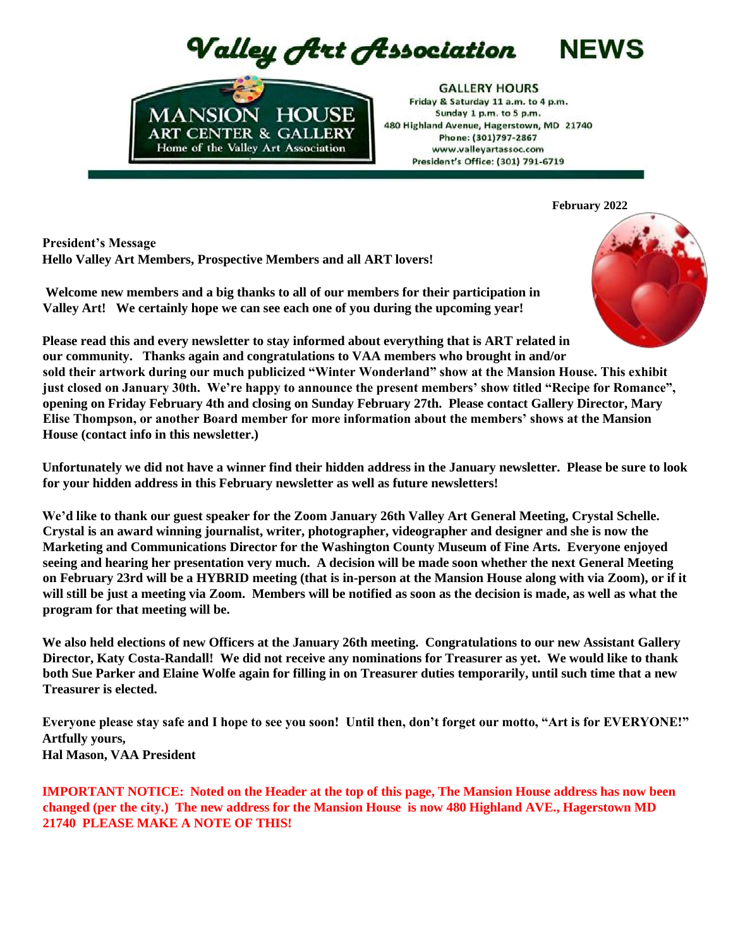Valley Art Association



**GALLERY HOURS** Friday & Saturday 11 a.m. to 4 p.m. Sunday 1 p.m. to 5 p.m. 480 Highland Avenue, Hagerstown, MD 21740 Phone: (301)797-2867 www.vallevartassoc.com President's Office: (301) 791-6719

**February 2022**

**NEWS** 

**President's Message Hello Valley Art Members, Prospective Members and all ART lovers!**

**Welcome new members and a big thanks to all of our members for their participation in Valley Art! We certainly hope we can see each one of you during the upcoming year!** 



**Please read this and every newsletter to stay informed about everything that is ART related in our community. Thanks again and congratulations to VAA members who brought in and/or sold their artwork during our much publicized "Winter Wonderland" show at the Mansion House. This exhibit just closed on January 30th. We're happy to announce the present members' show titled "Recipe for Romance", opening on Friday February 4th and closing on Sunday February 27th. Please contact Gallery Director, Mary Elise Thompson, or another Board member for more information about the members' shows at the Mansion House (contact info in this newsletter.)**

**Unfortunately we did not have a winner find their hidden address in the January newsletter. Please be sure to look for your hidden address in this February newsletter as well as future newsletters!**

**We'd like to thank our guest speaker for the Zoom January 26th Valley Art General Meeting, Crystal Schelle. Crystal is an award winning journalist, writer, photographer, videographer and designer and she is now the Marketing and Communications Director for the Washington County Museum of Fine Arts. Everyone enjoyed seeing and hearing her presentation very much. A decision will be made soon whether the next General Meeting on February 23rd will be a HYBRID meeting (that is in-person at the Mansion House along with via Zoom), or if it will still be just a meeting via Zoom. Members will be notified as soon as the decision is made, as well as what the program for that meeting will be.** 

**We also held elections of new Officers at the January 26th meeting. Congratulations to our new Assistant Gallery Director, Katy Costa-Randall! We did not receive any nominations for Treasurer as yet. We would like to thank both Sue Parker and Elaine Wolfe again for filling in on Treasurer duties temporarily, until such time that a new Treasurer is elected.** 

**Everyone please stay safe and I hope to see you soon! Until then, don't forget our motto, "Art is for EVERYONE!" Artfully yours, Hal Mason, VAA President** 

**IMPORTANT NOTICE: Noted on the Header at the top of this page, The Mansion House address has now been changed (per the city.) The new address for the Mansion House is now 480 Highland AVE., Hagerstown MD 21740 PLEASE MAKE A NOTE OF THIS!**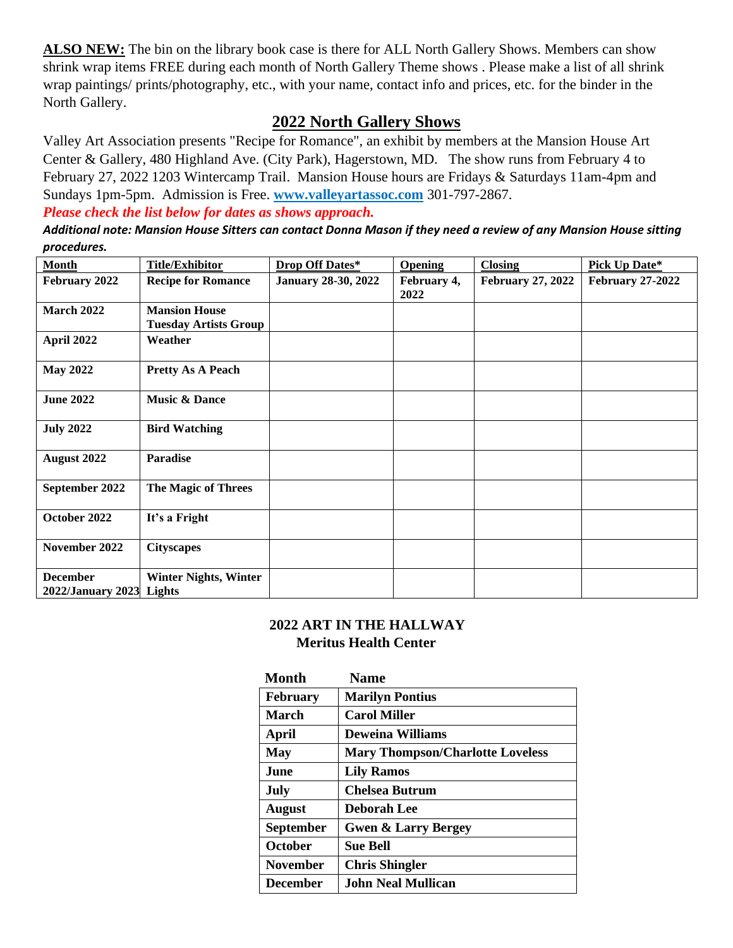**ALSO NEW:** The bin on the library book case is there for ALL North Gallery Shows. Members can show shrink wrap items FREE during each month of North Gallery Theme shows . Please make a list of all shrink wrap paintings/ prints/photography, etc., with your name, contact info and prices, etc. for the binder in the North Gallery.

### **2022 North Gallery Shows**

Valley Art Association presents "Recipe for Romance", an exhibit by members at the Mansion House Art Center & Gallery, 480 Highland Ave. (City Park), Hagerstown, MD. The show runs from February 4 to February 27, 2022 1203 Wintercamp Trail. Mansion House hours are Fridays & Saturdays 11am-4pm and Sundays 1pm-5pm. Admission is Free. **[www.valleyartassoc.com](http://www.valleyartassoc.com/)** 301-797-2867.

*Please check the list below for dates as shows approach.*

*Additional note: Mansion House Sitters can contact Donna Mason if they need a review of any Mansion House sitting procedures.*

| <b>Month</b>                                | <b>Title/Exhibitor</b>                               | Drop Off Dates*            | <b>Opening</b>      | <b>Closing</b>           | Pick Up Date*           |
|---------------------------------------------|------------------------------------------------------|----------------------------|---------------------|--------------------------|-------------------------|
| February 2022                               | <b>Recipe for Romance</b>                            | <b>January 28-30, 2022</b> | February 4,<br>2022 | <b>February 27, 2022</b> | <b>February 27-2022</b> |
| <b>March 2022</b>                           | <b>Mansion House</b><br><b>Tuesday Artists Group</b> |                            |                     |                          |                         |
| April 2022                                  | Weather                                              |                            |                     |                          |                         |
| <b>May 2022</b>                             | <b>Pretty As A Peach</b>                             |                            |                     |                          |                         |
| <b>June 2022</b>                            | <b>Music &amp; Dance</b>                             |                            |                     |                          |                         |
| <b>July 2022</b>                            | <b>Bird Watching</b>                                 |                            |                     |                          |                         |
| August 2022                                 | <b>Paradise</b>                                      |                            |                     |                          |                         |
| September 2022                              | The Magic of Threes                                  |                            |                     |                          |                         |
| October 2022                                | It's a Fright                                        |                            |                     |                          |                         |
| November 2022                               | <b>Cityscapes</b>                                    |                            |                     |                          |                         |
| <b>December</b><br>2022/January 2023 Lights | <b>Winter Nights, Winter</b>                         |                            |                     |                          |                         |

#### **2022 ART IN THE HALLWAY Meritus Health Center**

| <b>Month</b>     | <b>Name</b>                             |
|------------------|-----------------------------------------|
| <b>February</b>  | <b>Marilyn Pontius</b>                  |
| <b>March</b>     | <b>Carol Miller</b>                     |
| April            | <b>Deweina Williams</b>                 |
| <b>May</b>       | <b>Mary Thompson/Charlotte Loveless</b> |
| <b>June</b>      | <b>Lily Ramos</b>                       |
| July             | <b>Chelsea Butrum</b>                   |
| <b>August</b>    | <b>Deborah Lee</b>                      |
| <b>September</b> | <b>Gwen &amp; Larry Bergey</b>          |
| <b>October</b>   | <b>Sue Bell</b>                         |
| <b>November</b>  | <b>Chris Shingler</b>                   |
| <b>December</b>  | <b>John Neal Mullican</b>               |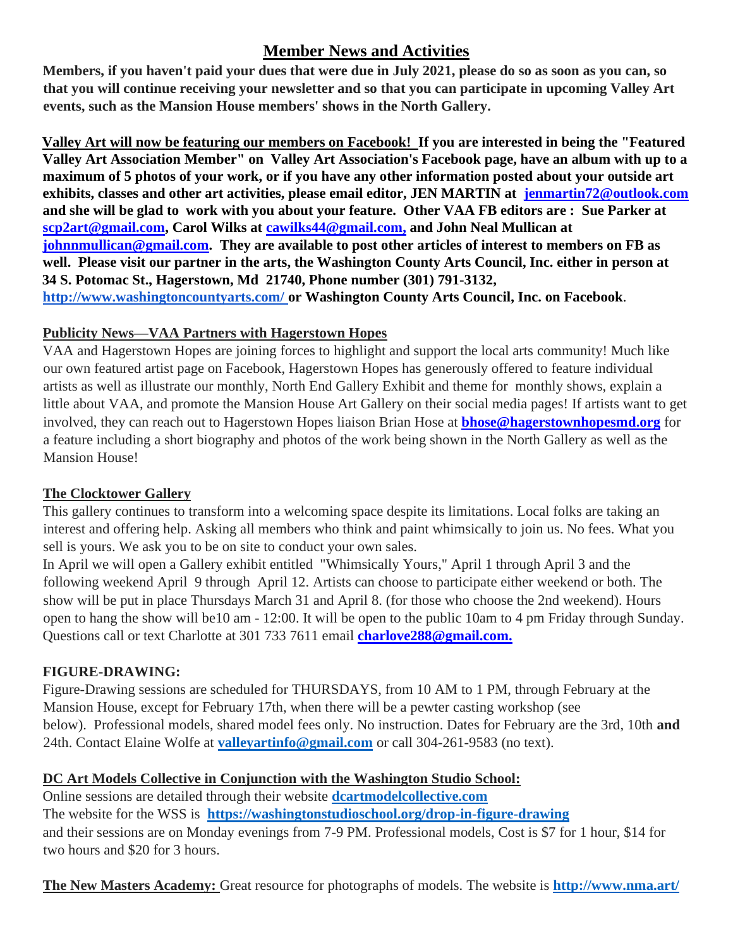# **Member News and Activities**

**Members, if you haven't paid your dues that were due in July 2021, please do so as soon as you can, so that you will continue receiving your newsletter and so that you can participate in upcoming Valley Art events, such as the Mansion House members' shows in the North Gallery.** 

**Valley Art will now be featuring our members on Facebook! If you are interested in being the "Featured Valley Art Association Member" on Valley Art Association's Facebook page, have an album with up to a maximum of 5 photos of your work, or if you have any other information posted about your outside art exhibits, classes and other art activities, please email editor, JEN MARTIN at jenmartin72@outlook.com and she will be glad to work with you about your feature. Other VAA FB editors are : Sue Parker at scp2art@gmail.com, Carol Wilks at cawilks44@gmail.com, and John Neal Mullican at johnnmullican@gmail.com. They are available to post other articles of interest to members on FB as well. Please visit our partner in the arts, the Washington County Arts Council, Inc. either in person at 34 S. Potomac St., Hagerstown, Md 21740, Phone number (301) 791-3132, <http://www.washingtoncountyarts.com/> [o](http://www.washingtoncountyarts.com/)r Washington County Arts Council, Inc. on Facebook**.

### **Publicity News—VAA Partners with Hagerstown Hopes**

VAA and Hagerstown Hopes are joining forces to highlight and support the local arts community! Much like our own featured artist page on Facebook, Hagerstown Hopes has generously offered to feature individual artists as well as illustrate our monthly, North End Gallery Exhibit and theme for monthly shows, explain a little about VAA, and promote the Mansion House Art Gallery on their social media pages! If artists want to get involved, they can reach out to Hagerstown Hopes liaison Brian Hose at **bhose@hagerstownhopesmd.org** for a feature including a short biography and photos of the work being shown in the North Gallery as well as the Mansion House!

### **The Clocktower Gallery**

This gallery continues to transform into a welcoming space despite its limitations. Local folks are taking an interest and offering help. Asking all members who think and paint whimsically to join us. No fees. What you sell is yours. We ask you to be on site to conduct your own sales.

In April we will open a Gallery exhibit entitled "Whimsically Yours," April 1 through April 3 and the following weekend April 9 through April 12. Artists can choose to participate either weekend or both. The show will be put in place Thursdays March 31 and April 8. (for those who choose the 2nd weekend). Hours open to hang the show will be10 am - 12:00. It will be open to the public 10am to 4 pm Friday through Sunday. Questions call or text Charlotte at 301 733 7611 email **charlove288@gmail.com.**

### **FIGURE-DRAWING:**

Figure-Drawing sessions are scheduled for THURSDAYS, from 10 AM to 1 PM, through February at the Mansion House, except for February 17th, when there will be a pewter casting workshop (see below). Professional models, shared model fees only. No instruction. Dates for February are the 3rd, 10th **and**  24th. Contact Elaine Wolfe at **[valleyartinfo@gmail.com](mailto:valleyartinfo@gmail.com)** or call 304-261-9583 (no text).

### **DC Art Models Collective in Conjunction with the Washington Studio School:**

Online sessions are detailed through their website **[dcartmodelcollective.com](http://dcartmodelcollective.com/)** The website for the WSS is **<https://washingtonstudioschool.org/drop-in-figure-drawing>** and their sessions are on Monday evenings from 7-9 PM. Professional models, Cost is \$7 for 1 hour, \$14 for two hours and \$20 for 3 hours.

**The New Masters Academy:** Great resource for photographs of models. The website is **<http://www.nma.art/>**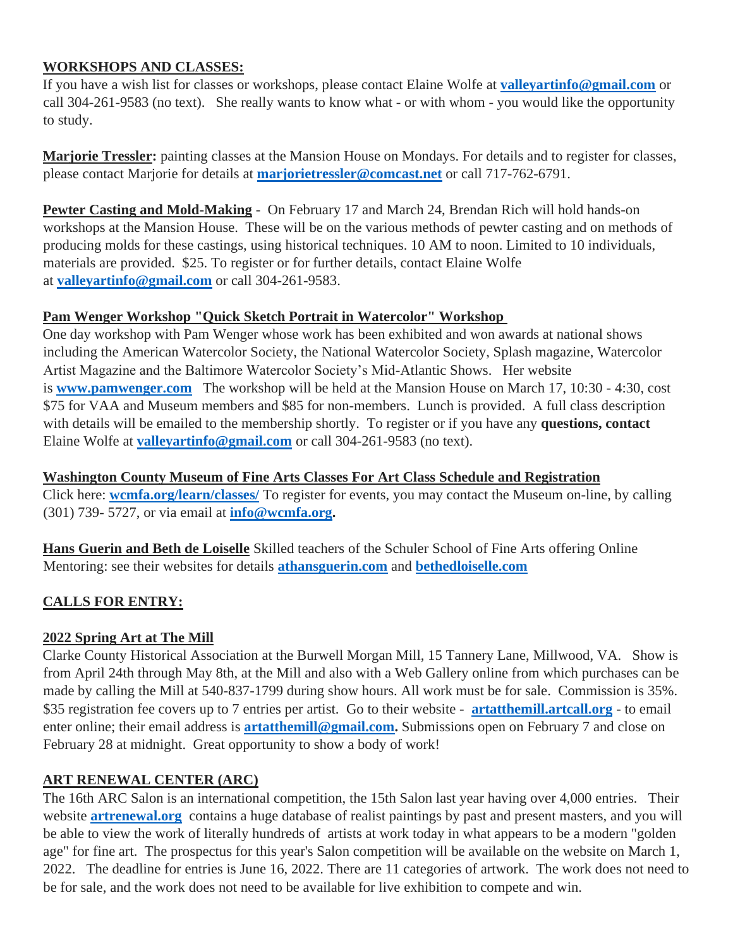#### **WORKSHOPS AND CLASSES:**

If you have a wish list for classes or workshops, please contact Elaine Wolfe at **[valleyartinfo@gmail.com](mailto:valleyartinfo@gmail.com)** or call 304-261-9583 (no text). She really wants to know what - or with whom - you would like the opportunity to study.

**Marjorie Tressler:** painting classes at the Mansion House on Mondays. For details and to register for classes, please contact Marjorie for details at **[marjorietressler@comcast.net](mailto:marjorietressler@comcast.net)** or call 717-762-6791.

**Pewter Casting and Mold-Making** - On February 17 and March 24, Brendan Rich will hold hands-on workshops at the Mansion House. These will be on the various methods of pewter casting and on methods of producing molds for these castings, using historical techniques. 10 AM to noon. Limited to 10 individuals, materials are provided. \$25. To register or for further details, contact Elaine Wolfe at **[valleyartinfo@gmail.com](mailto:valleyartinfo@gmail.com)** or call 304-261-9583.

#### **Pam Wenger Workshop "Quick Sketch Portrait in Watercolor" Workshop**

One day workshop with Pam Wenger whose work has been exhibited and won awards at national shows including the American Watercolor Society, the National Watercolor Society, Splash magazine, Watercolor Artist Magazine and the Baltimore Watercolor Society's Mid-Atlantic Shows. Her website is **[www.pamwenger.com](http://www.pamwenger.com/)** The workshop will be held at the Mansion House on March 17, 10:30 - 4:30, cost \$75 for VAA and Museum members and \$85 for non-members. Lunch is provided. A full class description with details will be emailed to the membership shortly. To register or if you have any **questions, contact**  Elaine Wolfe at **[valleyartinfo@gmail.com](mailto:valleyartinfo@gmail.com)** or call 304-261-9583 (no text).

**Washington County Museum of Fine Arts Classes For Art Class Schedule and Registration** Click here: **[wcmfa.org/learn/classes/](http://wcmfa.org/learn/classes/)** To register for events, you may contact the Museum on-line, by calling (301) 739- 5727, or via email at **[info@wcmfa.org.](mailto:info@wcmfa.org)**

**Hans Guerin and Beth de Loiselle** Skilled teachers of the Schuler School of Fine Arts offering Online Mentoring: see their websites for details **[athansguerin.com](http://athansguerin.com/)** and **[bethedloiselle.com](http://bethedloiselle.com/)**

### **CALLS FOR ENTRY:**

### **2022 Spring Art at The Mill**

Clarke County Historical Association at the Burwell Morgan Mill, 15 Tannery Lane, Millwood, VA. Show is from April 24th through May 8th, at the Mill and also with a Web Gallery online from which purchases can be made by calling the Mill at 540-837-1799 during show hours. All work must be for sale. Commission is 35%. \$35 registration fee covers up to 7 entries per artist. Go to their website - **[artatthemill.artcall.org](http://artatthemill.artcall.org/)** - to email enter online; their email address is **[artatthemill@gmail.com.](mailto:artatthemill@gmail.com)** Submissions open on February 7 and close on February 28 at midnight. Great opportunity to show a body of work!

#### **ART RENEWAL CENTER (ARC)**

The 16th ARC Salon is an international competition, the 15th Salon last year having over 4,000 entries. Their website **[artrenewal.org](http://artrenewal.org/)** contains a huge database of realist paintings by past and present masters, and you will be able to view the work of literally hundreds of artists at work today in what appears to be a modern "golden age" for fine art. The prospectus for this year's Salon competition will be available on the website on March 1, 2022. The deadline for entries is June 16, 2022. There are 11 categories of artwork. The work does not need to be for sale, and the work does not need to be available for live exhibition to compete and win.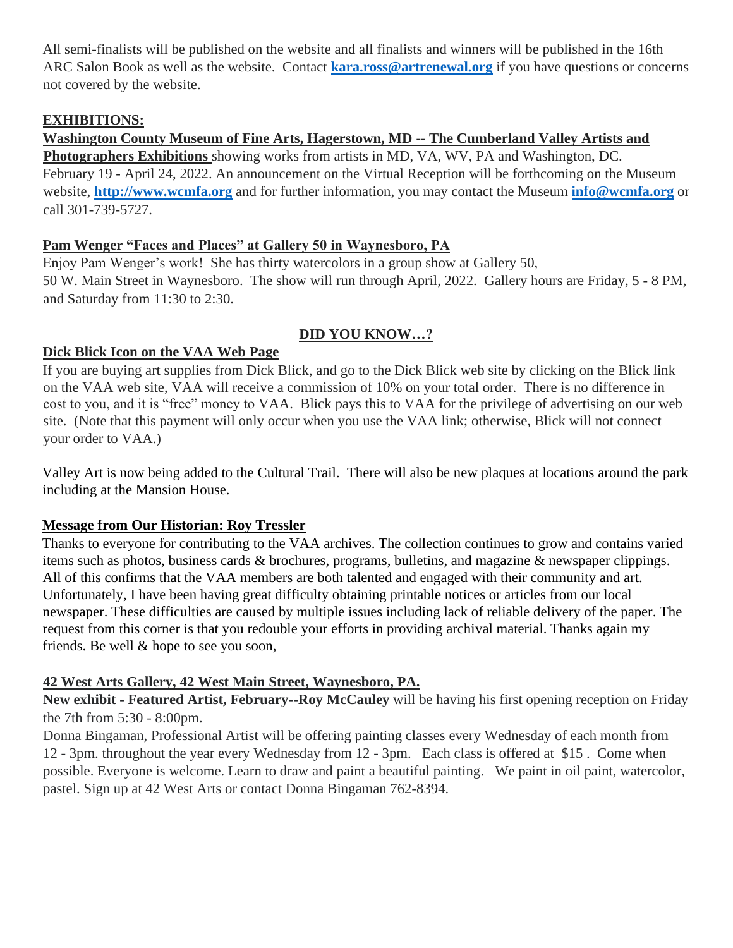All semi-finalists will be published on the website and all finalists and winners will be published in the 16th ARC Salon Book as well as the website. Contact **[kara.ross@artrenewal.org](mailto:kara.ross@artrenewal.org)** if you have questions or concerns not covered by the website.

#### **EXHIBITIONS:**

**Washington County Museum of Fine Arts, Hagerstown, MD -- The Cumberland Valley Artists and Photographers Exhibitions** showing works from artists in MD, VA, WV, PA and Washington, DC. February 19 - April 24, 2022. An announcement on the Virtual Reception will be forthcoming on the Museum website, **[http://www.wcmfa.org](http://www.wcmfa.org/)** and for further information, you may contact the Museum **[info@wcmfa.org](mailto:info@wcmfa.org)** or call 301-739-5727.

### **Pam Wenger "Faces and Places" at Gallery 50 in Waynesboro, PA**

Enjoy Pam Wenger's work! She has thirty watercolors in a group show at Gallery 50, 50 W. Main Street in Waynesboro. The show will run through April, 2022. Gallery hours are Friday, 5 - 8 PM, and Saturday from 11:30 to 2:30.

### **DID YOU KNOW…?**

### **Dick Blick Icon on the VAA Web Page**

If you are buying art supplies from Dick Blick, and go to the Dick Blick web site by clicking on the Blick link on the VAA web site, VAA will receive a commission of 10% on your total order. There is no difference in cost to you, and it is "free" money to VAA. Blick pays this to VAA for the privilege of advertising on our web site. (Note that this payment will only occur when you use the VAA link; otherwise, Blick will not connect your order to VAA.)

Valley Art is now being added to the Cultural Trail. There will also be new plaques at locations around the park including at the Mansion House.

### **Message from Our Historian: Roy Tressler**

Thanks to everyone for contributing to the VAA archives. The collection continues to grow and contains varied items such as photos, business cards & brochures, programs, bulletins, and magazine & newspaper clippings. All of this confirms that the VAA members are both talented and engaged with their community and art. Unfortunately, I have been having great difficulty obtaining printable notices or articles from our local newspaper. These difficulties are caused by multiple issues including lack of reliable delivery of the paper. The request from this corner is that you redouble your efforts in providing archival material. Thanks again my friends. Be well & hope to see you soon,

## **42 West Arts Gallery, 42 West Main Street, Waynesboro, PA.**

**New exhibit - Featured Artist, February--Roy McCauley** will be having his first opening reception on Friday the 7th from 5:30 - 8:00pm.

Donna Bingaman, Professional Artist will be offering painting classes every Wednesday of each month from 12 - 3pm. throughout the year every Wednesday from 12 - 3pm. Each class is offered at \$15 . Come when possible. Everyone is welcome. Learn to draw and paint a beautiful painting. We paint in oil paint, watercolor, pastel. Sign up at 42 West Arts or contact Donna Bingaman 762-8394.